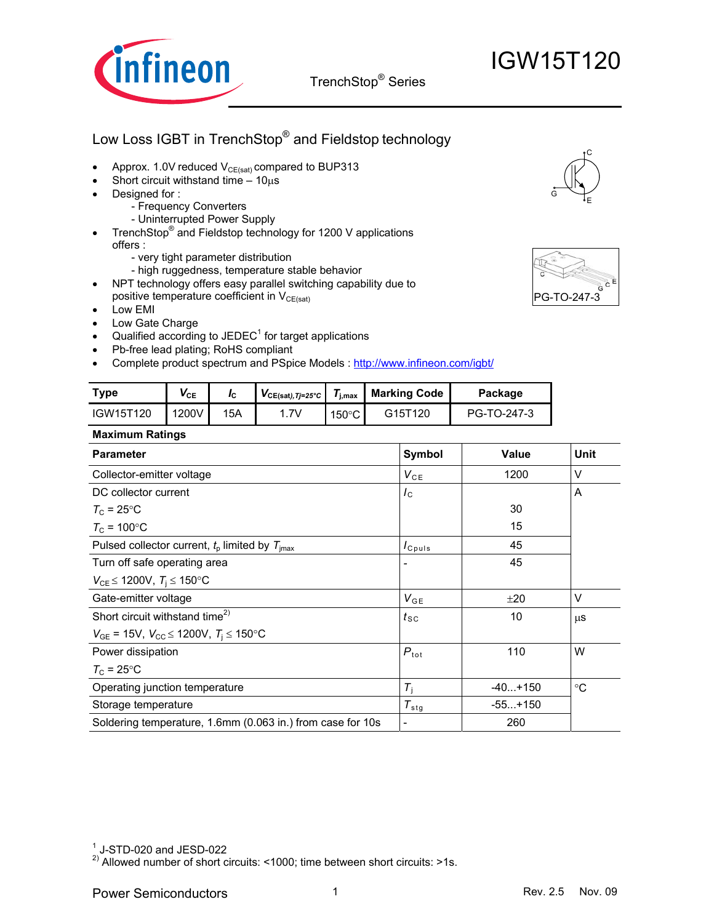

## Low Loss IGBT in TrenchStop® and Fieldstop technology

- Approx. 1.0V reduced  $V_{CE(sat)}$  compared to BUP313
- Short circuit withstand time  $-10\mu s$
- Designed for :
	- Frequency Converters
	- Uninterrupted Power Supply
- TrenchStop<sup>®</sup> and Fieldstop technology for 1200 V applications offers :
	- very tight parameter distribution
	- high ruggedness, temperature stable behavior
- NPT technology offers easy parallel switching capability due to positive temperature coefficient in  $V_{CE(sat)}$
- Low EMI
- Low Gate Charge
- Qualified according to JEDEC<sup>1</sup> for target applications
- Pb-free lead plating; RoHS compliant
- Complete product spectrum and PSpice Models : http://www.infineon.com/igbt/

| <b>Type</b> | $\mathsf{V}_{\texttt{CE}}$ |     | $VCE(sat), Tj=25^{\circ}C$ | /i.max  | <b>Marking Code</b> | Package     |
|-------------|----------------------------|-----|----------------------------|---------|---------------------|-------------|
| IGW15T120   | 1200V                      | 15A | .7V                        | 150°C l | G15T120             | PG-TO-247-3 |

#### **Maximum Ratings**

| Symbol                        | Value     | <b>Unit</b> |
|-------------------------------|-----------|-------------|
| $V_{CE}$                      | 1200      | V           |
| $I_{\rm C}$                   |           | A           |
|                               | 30        |             |
|                               | 15        |             |
| $I_{C^{puls}}$                | 45        |             |
|                               | 45        |             |
|                               |           |             |
| $V_{GE}$                      | ±20       | $\vee$      |
| $t_{\scriptstyle\textrm{SC}}$ | 10        | μS          |
|                               |           |             |
| $P_{\rm tot}$                 | 110       | W           |
|                               |           |             |
| $T_{\rm i}$                   | $-40+150$ | $^{\circ}C$ |
| $T_{\rm{stg}}$                | $-55+150$ |             |
| $\overline{\phantom{a}}$      | 260       |             |
|                               |           |             |





<sup>&</sup>lt;sup>2)</sup> Allowed number of short circuits: <1000; time between short circuits: >1s.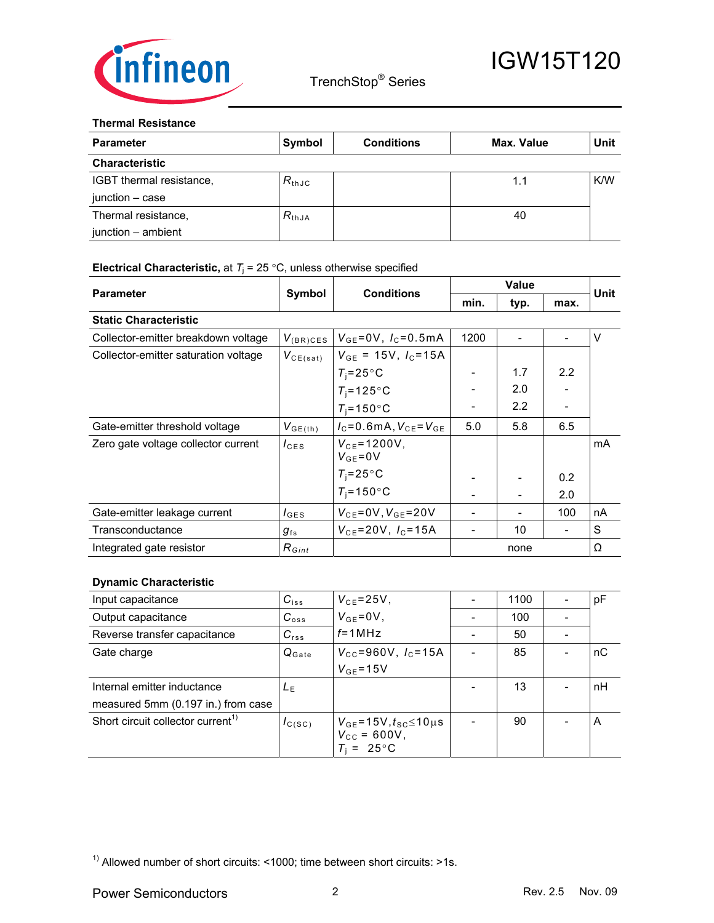

#### **Thermal Resistance**

| <b>Parameter</b>         | Symbol     | <b>Conditions</b> | Max. Value | Unit |
|--------------------------|------------|-------------------|------------|------|
| <b>Characteristic</b>    |            |                   |            |      |
| IGBT thermal resistance, | $R_{thJC}$ |                   | 1.1        | K/W  |
| junction – case          |            |                   |            |      |
| Thermal resistance,      | $R_{thJA}$ |                   | 40         |      |
| junction - ambient       |            |                   |            |      |

#### **Electrical Characteristic,** at  $T_i = 25 \degree C$ , unless otherwise specified

| <b>Parameter</b>                     |                                      | <b>Conditions</b>                   | <b>Value</b> |      |               | Unit   |
|--------------------------------------|--------------------------------------|-------------------------------------|--------------|------|---------------|--------|
|                                      | Symbol                               |                                     | min.         | typ. | max.          |        |
| <b>Static Characteristic</b>         |                                      |                                     |              |      |               |        |
| Collector-emitter breakdown voltage  | $V_{(BR)CES}$                        | $V_{GE} = 0V$ , $I_C = 0.5mA$       | 1200         |      |               | $\vee$ |
| Collector-emitter saturation voltage | $V_{CE(sat)}$                        | $V_{GE}$ = 15V, $I_C$ =15A          |              |      |               |        |
|                                      |                                      | $T_i = 25^{\circ}$ C                |              | 1.7  | 2.2           |        |
|                                      |                                      | $T_i = 125$ °C                      |              | 2.0  |               |        |
|                                      |                                      | $T_i = 150$ °C                      |              | 2.2  |               |        |
| Gate-emitter threshold voltage       | $V_{GE(th)}$                         | $I_c = 0.6$ mA, $V_{cF} = V_{cF}$   | 5.0          | 5.8  | 6.5           |        |
| Zero gate voltage collector current  | $I_{\text{CES}}$                     | $V_{CF} = 1200V$ .<br>$V_{GE} = 0V$ |              |      |               | mA     |
|                                      |                                      | $T_i = 25^{\circ}$ C                |              |      | $0.2^{\circ}$ |        |
|                                      |                                      | $T_i = 150$ °C                      |              |      | 2.0           |        |
| Gate-emitter leakage current         | $I_{\text{GES}}$                     | $V_{CE} = 0V, V_{GE} = 20V$         |              |      | 100           | nA     |
| Transconductance                     | $g_{\scriptscriptstyle \mathrm{fs}}$ | $V_{CE} = 20V, I_C = 15A$           |              | 10   |               | S      |
| Integrated gate resistor             | $R_{Gint}$                           |                                     |              | none |               | Ω      |

#### **Dynamic Characteristic**

| Input capacitance                             | $C_{iss}$         | $V_{CE} = 25V$ ,                                              | 1100 | pF |
|-----------------------------------------------|-------------------|---------------------------------------------------------------|------|----|
| Output capacitance                            | $C_{\text{oss}}$  | $V_{GE} = 0V$ ,                                               | 100  |    |
| Reverse transfer capacitance                  | $C_{rss}$         | $f = 1$ MHz                                                   | 50   |    |
| Gate charge                                   | $Q_{\text{Gate}}$ | $V_{\text{cc}} = 960 \text{V}$ , $I_{\text{c}} = 15 \text{A}$ | 85   | nC |
|                                               |                   | $V_{GF} = 15V$                                                |      |    |
| Internal emitter inductance                   | LE                |                                                               | 13   | nH |
| measured 5mm (0.197 in.) from case            |                   |                                                               |      |    |
| Short circuit collector current <sup>1)</sup> | $I_{C(SC)}$       | $V_{GE}$ =15V, $t_{SC}$ ≤10µs<br>$V_{\text{cc}} = 600V,$      | 90   | A  |
|                                               |                   | $T_i = 25^{\circ}$ C                                          |      |    |

 $1)$  Allowed number of short circuits: <1000; time between short circuits: >1s.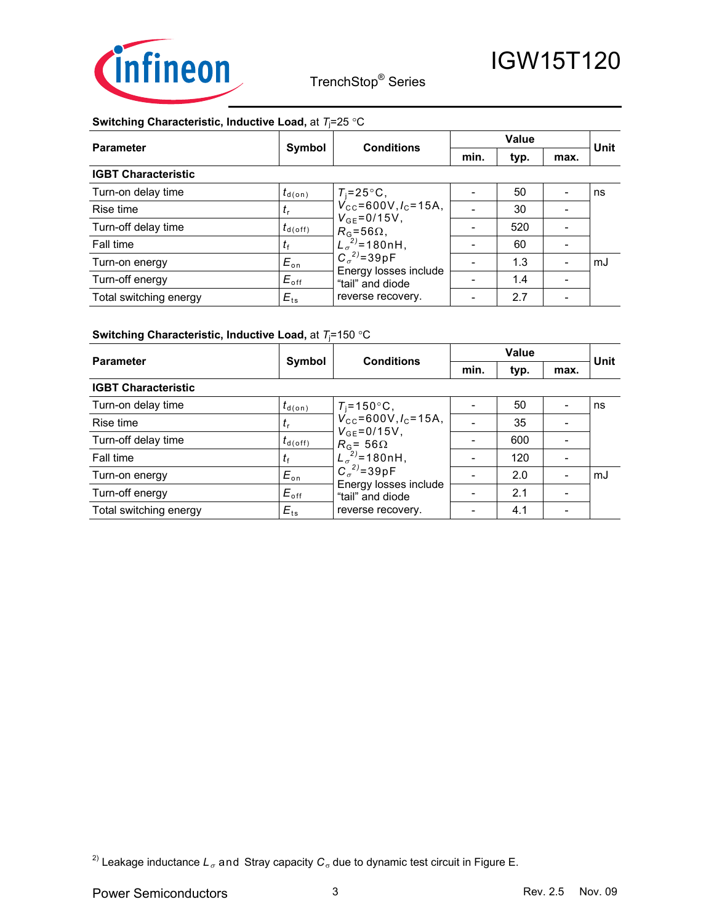

#### **Switching Characteristic, Inductive Load,** at *T*<sup>j</sup> =25 °C

| <b>Parameter</b>           | Symbol             | <b>Conditions</b>                                                                                                                                                                              | <b>Value</b> |      |      | Unit |
|----------------------------|--------------------|------------------------------------------------------------------------------------------------------------------------------------------------------------------------------------------------|--------------|------|------|------|
|                            |                    |                                                                                                                                                                                                | min.         | typ. | max. |      |
| <b>IGBT Characteristic</b> |                    |                                                                                                                                                                                                |              |      |      |      |
| Turn-on delay time         | $t_{\text{d}(on)}$ | $T_i = 25^{\circ}C$ ,                                                                                                                                                                          |              | 50   |      | ns   |
| Rise time                  | $t_{\rm r}$        | $V_{\text{cc}}$ =600V, $I_{\text{c}}$ =15A,<br>$V_{GE} = 0/15V$ ,<br>$R_{G}$ =56 $\Omega$ ,<br>$L_{\sigma}^{2}$ =180nH,<br>$C_{\sigma}^{2}$ =39pF<br>Energy losses include<br>"tail" and diode |              | 30   |      |      |
| Turn-off delay time        | $t_{\sf d(off)}$   |                                                                                                                                                                                                |              | 520  |      |      |
| Fall time                  | $t_{\rm f}$        |                                                                                                                                                                                                |              | 60   |      |      |
| Turn-on energy             | $E_{\rm on}$       |                                                                                                                                                                                                |              | 1.3  |      | mJ   |
| Turn-off energy            | $E_{\text{off}}$   |                                                                                                                                                                                                |              | 1.4  |      |      |
| Total switching energy     | $E_{\text{ts}}$    | reverse recovery.                                                                                                                                                                              |              | 2.7  |      |      |

#### **Switching Characteristic, Inductive Load,** at *T*<sup>j</sup> =150 °C

| <b>Parameter</b>           | Symbol              | <b>Conditions</b>                                                                                                                                                                                                          | Value |      |      | Unit |
|----------------------------|---------------------|----------------------------------------------------------------------------------------------------------------------------------------------------------------------------------------------------------------------------|-------|------|------|------|
|                            |                     |                                                                                                                                                                                                                            | min.  | typ. | max. |      |
| <b>IGBT Characteristic</b> |                     |                                                                                                                                                                                                                            |       |      |      |      |
| Turn-on delay time         | $t_{\text{d}(on)}$  | $T_i = 150^{\circ}C$ ,                                                                                                                                                                                                     |       | 50   |      | ns   |
| Rise time                  | $I_r$               | $V_{\text{cc}}$ =600V, $I_{\text{c}}$ =15A,<br>$V_{GE} = 0/15V$ ,<br>$R_{\rm G}$ = 56 $\Omega$<br>$L_{\sigma}^{(2)}$ =180nH,<br>$C_{\sigma}^{2)} = 39pF$<br>Energy losses include<br>"tail" and diode<br>reverse recovery. |       | 35   |      |      |
| Turn-off delay time        | $t_{\text{d(off)}}$ |                                                                                                                                                                                                                            |       | 600  |      |      |
| Fall time                  | $t_{\rm f}$         |                                                                                                                                                                                                                            |       | 120  |      |      |
| Turn-on energy             | $E_{\rm on}$        |                                                                                                                                                                                                                            |       | 2.0  |      | mJ   |
| Turn-off energy            | $E_{\text{off}}$    |                                                                                                                                                                                                                            |       | 2.1  |      |      |
| Total switching energy     | $E_{ts}$            |                                                                                                                                                                                                                            |       | 4.1  |      |      |

<sup>2)</sup> Leakage inductance  $L_{\sigma}$  and Stray capacity  $C_{\sigma}$  due to dynamic test circuit in Figure E.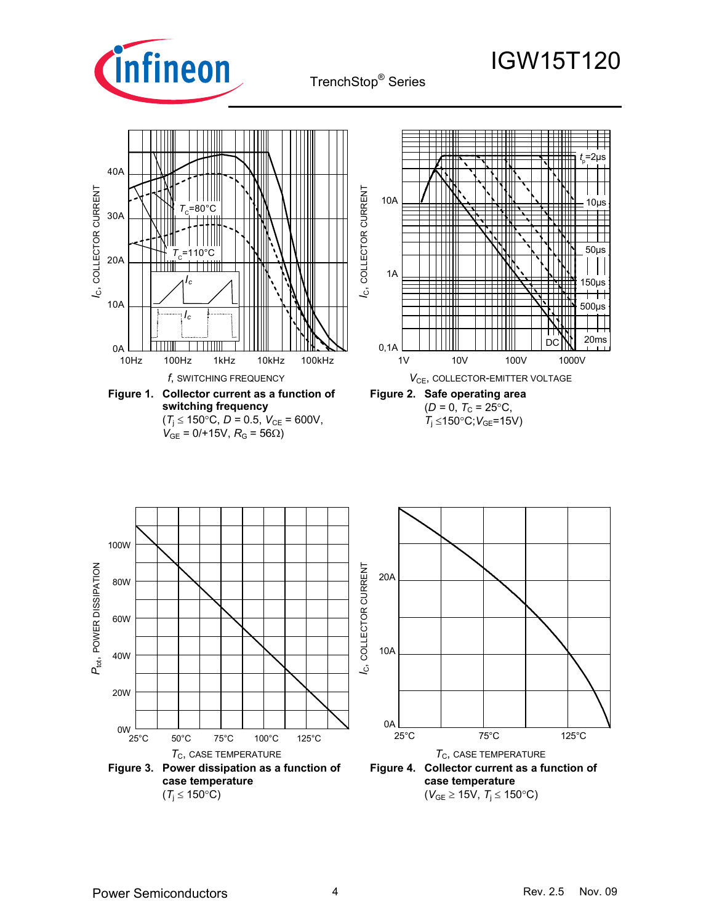

#### *t* p =2µs 40A I<sub>C</sub>, COLLECTOR CURRENT *I*C, COLLECTOR CURRENT  $l_{\rm C}$ , COLLECTOR CURRENT *I*C, COLLECTOR CURRENT Ш 10A 10µs  $T_c$ =80 $^{\circ}$ C 30A 50µs *T*C=110°C 20A 1A *Ic* 150µs  $\pm$   $\pm$ 10A 500µs *Ic*Π 20ms DC 0,1A 0A 10Hz 100Hz 1kHz 10kHz 100kHz 1V 10V 100V 1000V *f*, SWITCHING FREQUENCY *V*CE, COLLECTOR-EMITTER VOLTAGE **Figure 1. Collector current as a function of Figure 2. Safe operating area switching frequency**   $(D = 0, T_C = 25$ °C, *T*<sub>i</sub> ≤150°C; *V*<sub>GE</sub>=15V)  $(T_{\text{j}} \leq 150^{\circ} \text{C}, D = 0.5, V_{\text{CE}} = 600 \text{V},$  $V_{GE}$  = 0/+15V,  $R_G$  = 56 $\Omega$ ) 100W P<sub>tot</sub>, POWER DISSIPATION *I<sub>C</sub>*, COLLECTOR CURRENT *I*C, COLLECTOR CURRENT *P*tot, POWER DISSIPATION 20A 80W 60W 10A 40W 20W 0A 0W 25°C 75°C 125°C 25°C 50°C 75°C 100°C 125°C  $T_{\rm C}$ , CASE TEMPERATURE  $T_{\rm C}$ , CASE TEMPERATURE **Figure 3. Power dissipation as a function of**

**Figure 4. Collector current as a function of case temperature**  (*V*GE ≥ 15V, *T*<sup>j</sup> ≤ 150°C)

**case temperature**   $(T_i \leq 150^{\circ}C)$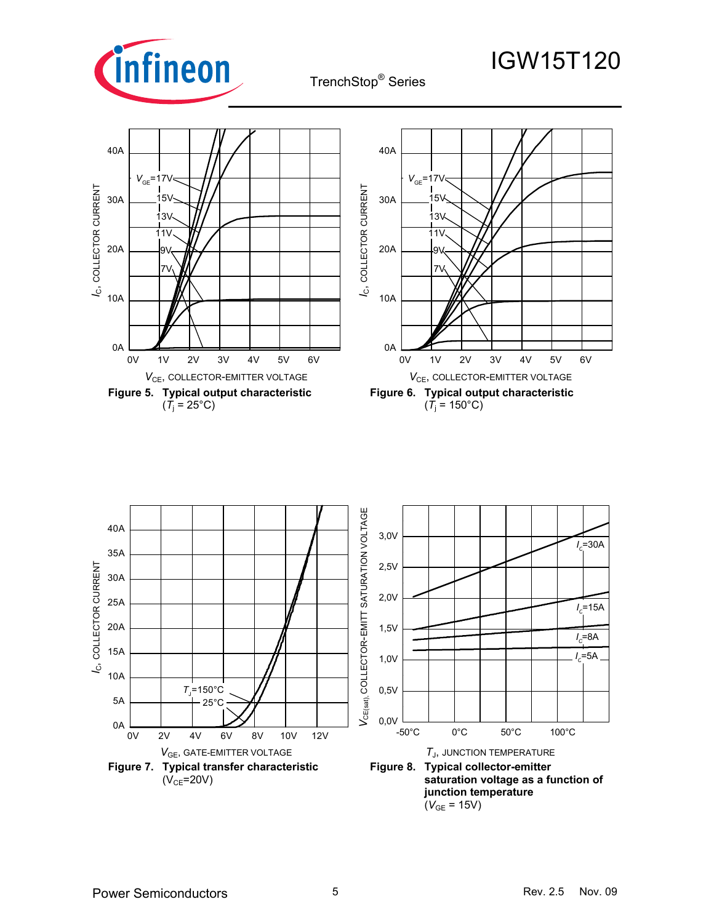



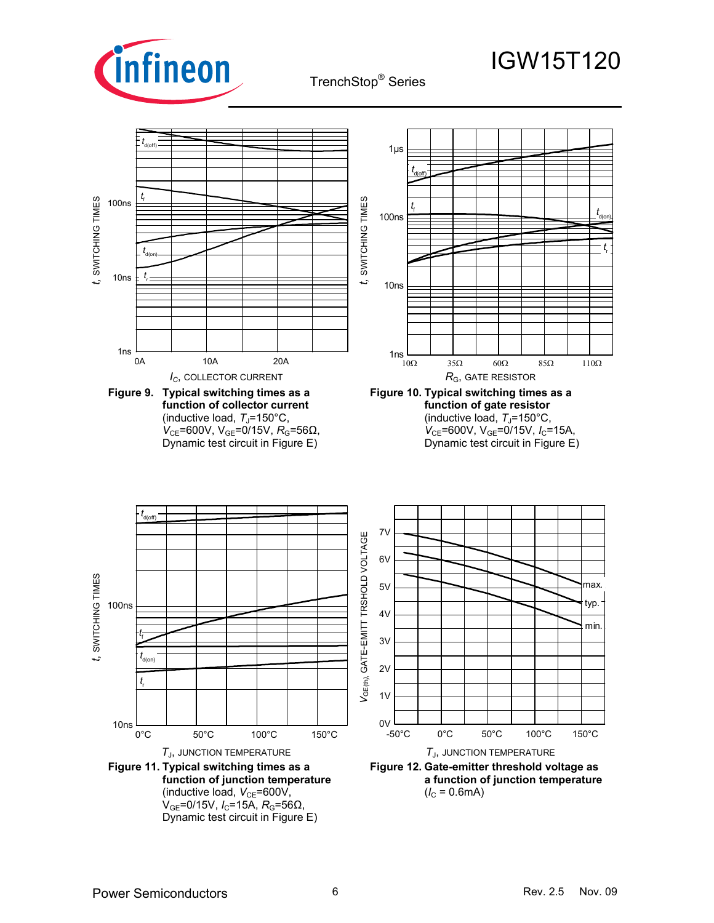

TrenchStop® Series

#### 0A 10A 20A 1ns 10ns 100ns *t* r *t* d(on) *t* f *t* d(off) *t,* SWITCHING TIMES 10 $\Omega$  35 $\Omega$  60 $\Omega$  85 $\Omega$  110 $\Omega$  $\frac{1}{10\Omega}$ 10ns 100ns 1µs *t* f *t* r *t* d(off) *t* d(on) *I<sub>C</sub>*, COLLECTOR CURRENT *R<sub>G</sub>*, GATE RESISTOR **Figure 9. Typical switching times as a function of collector current Figure 10. Typical switching times as a function of gate resistor**

(inductive load,  $T_J$ =150°C, *V*<sub>CE</sub>=600V, V<sub>GE</sub>=0/15V, *R*<sub>G</sub>=56Ω, Dynamic test circuit in Figure E)

(inductive load,  $T_J$ =150°C,  $V_{CE}$ =600V, V<sub>GE</sub>=0/15V, I<sub>C</sub>=15A,

IGW15T120

Dynamic test circuit in Figure E)

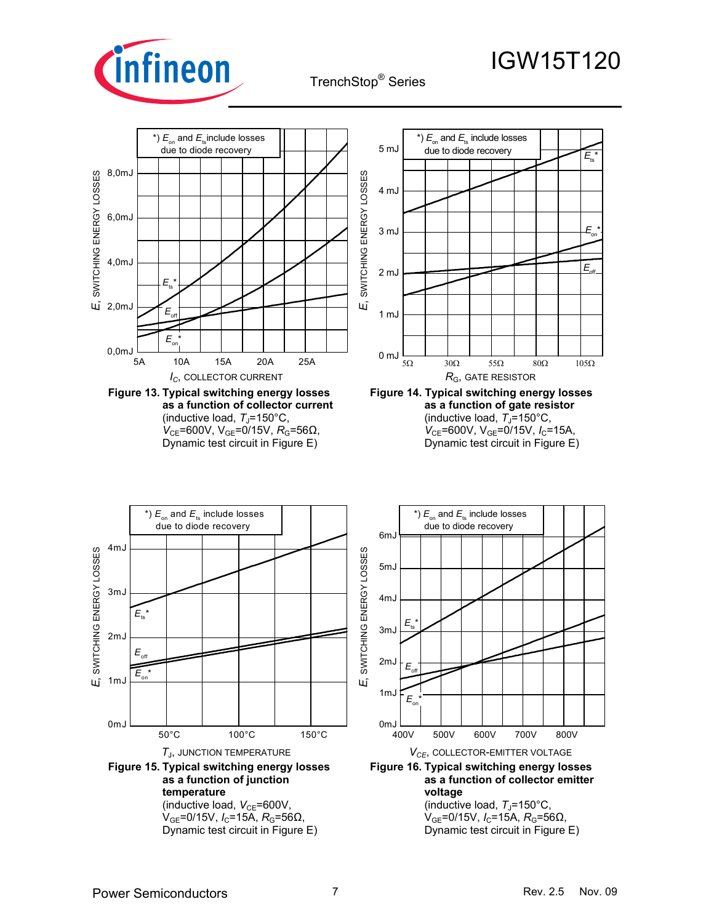



(inductive load,  $T_J$ =150°C, *V*<sub>CE</sub>=600V, V<sub>GE</sub>=0/15V, *R*<sub>G</sub>=56Ω, Dynamic test circuit in Figure E)



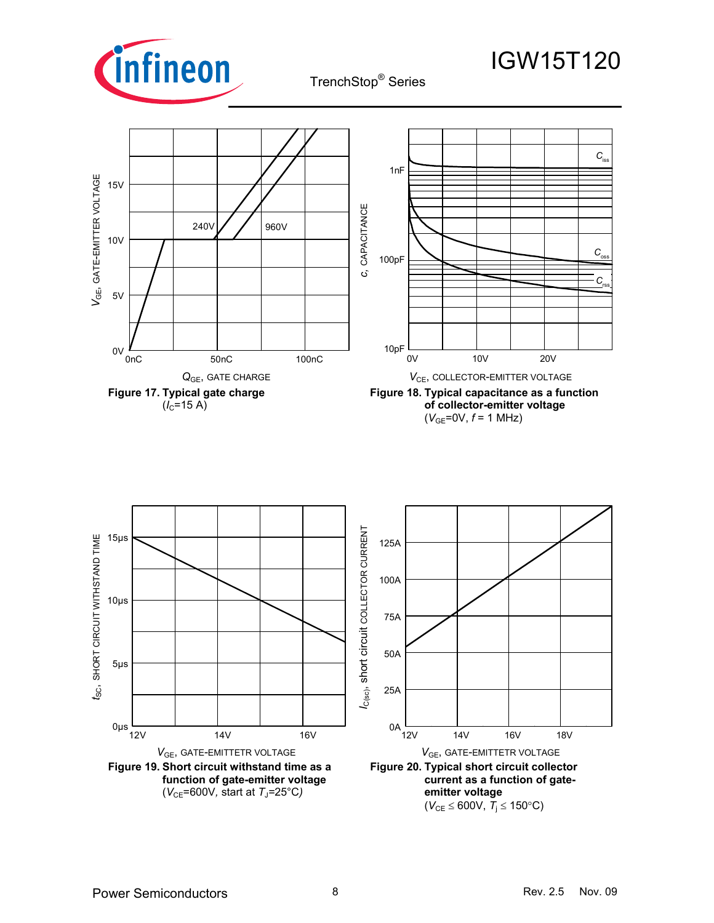



 $(V_{GE}=0V, f=1 MHz)$ 

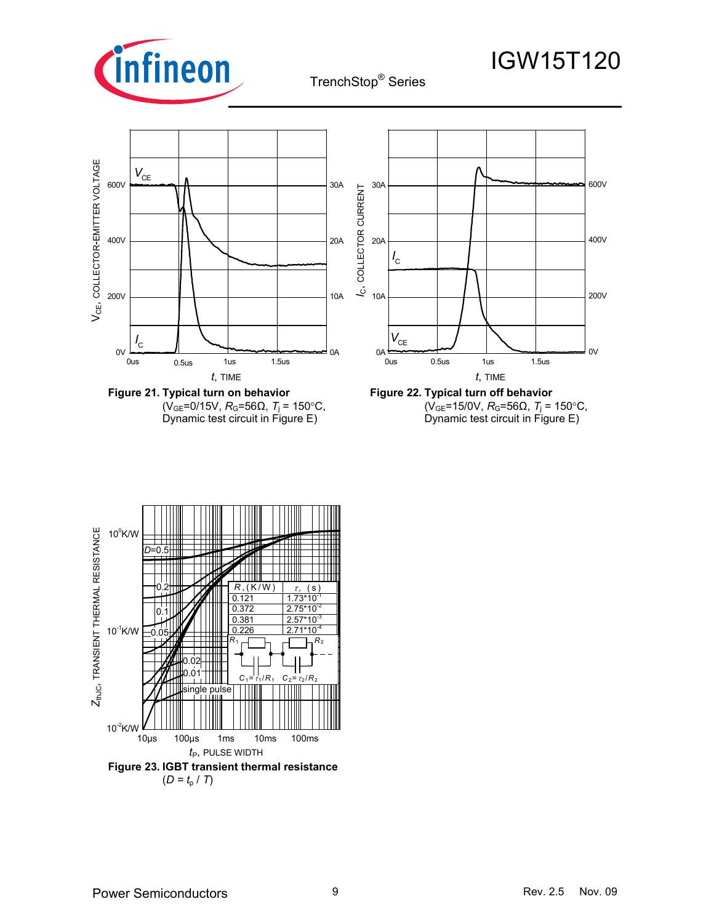



**Figure 21. Typical turn on behavior**  (V<sub>GE</sub>=0/15V, *R*<sub>G</sub>=56Ω, *T*<sub>i</sub> = 150°C, Dynamic test circuit in Figure E)



**Figure 22. Typical turn off behavior**   $(V_{GE} = 15/0 V, R_G = 56Ω, T_i = 150°C,$ Dynamic test circuit in Figure E)

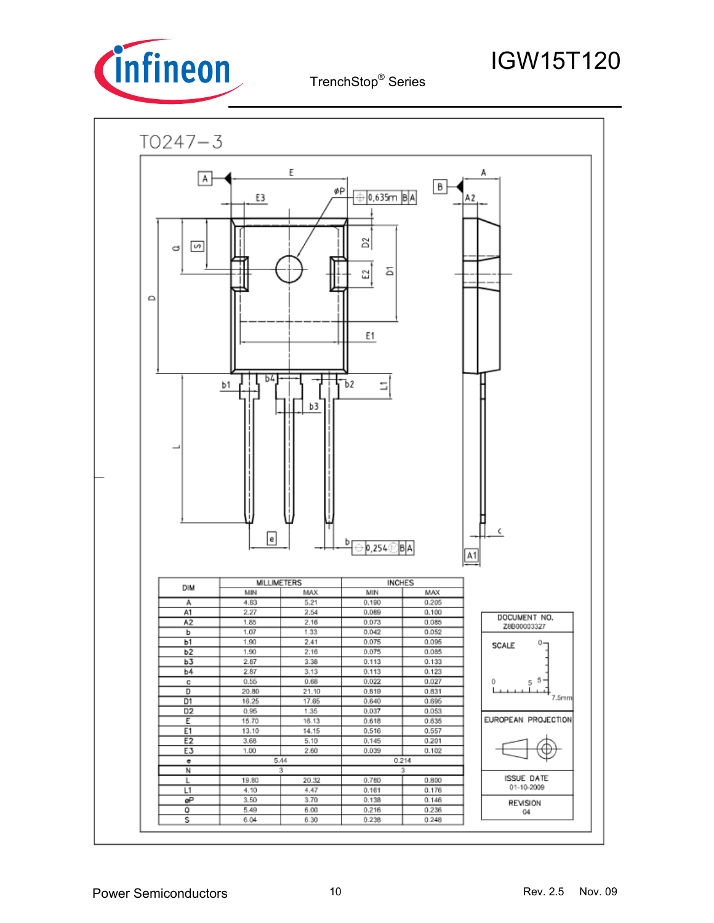

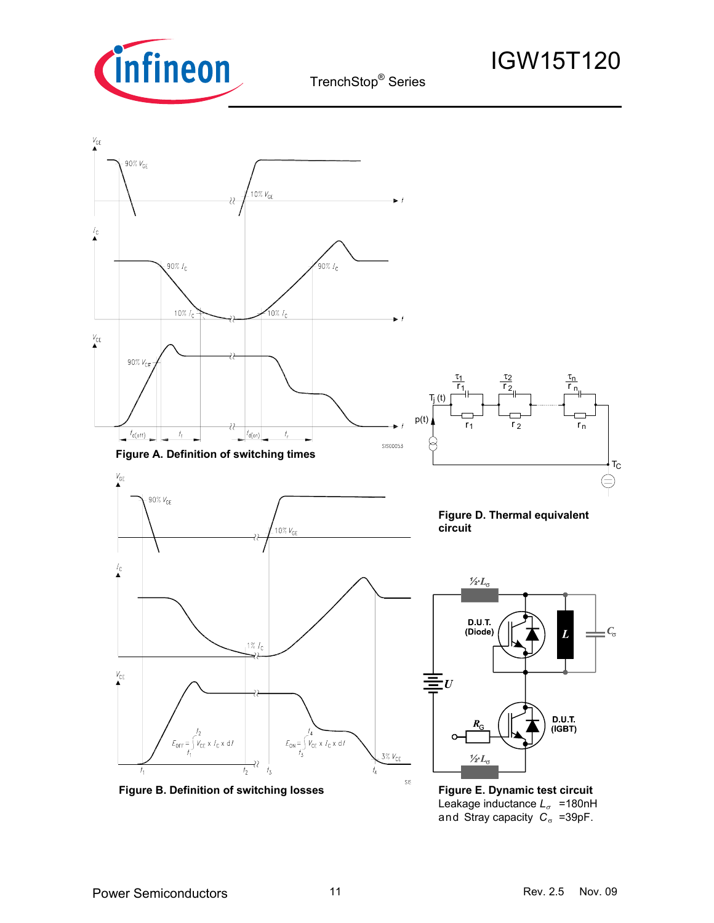

 $V_{GE}$ 

 $I_{\rm C}$ 

 $V_{\rm CE}$ 

 $V_{\text{CE}}$ 

 $I_{\mathbf{C}}$ 

 $V_{\rm CE}$ 

TrenchStop® Series

### 90% V<sub>GE</sub> 10% $V_{\text{GF}}$  $90\% I_c$  $90\% I_c$  $10\% I_c$ 10% $I_c$ 90% $V_{CE}$ τ1 τ τ2 n  $\overline{{\mathsf{r}}_1}$ ,  $\overline{{\mathsf{r}}}$ r 1 2 n  $T_{j}$  (t)  $p(t)$   $\uparrow$   $\uparrow$   $\uparrow$   $\uparrow$   $\uparrow$   $\uparrow$   $\uparrow$   $\uparrow$   $\uparrow$   $\uparrow$   $\uparrow$   $\uparrow$  $r_1$   $r_2$  r 22  $t_{d(\text{off})}$  $t_{\rm f}$  $|t_{\sf d(on)}|$  $\bar{I}_r$ **SIS00053 Figure A. Definition of switching times**  $(\equiv)$  $90\%$   $V_{\text{GE}}$ **Figure D. Thermal equivalent circuit** 10% $V_{\rm G}$  $\frac{1}{2}L_{\alpha}$ D.U.T. (Diode)  $C_{\sigma}$  $1\%$   $I_c$ D.U.T.  $(IGBT)$  $E_{\text{OFF}} = \int_{t_1}^{t_2} V_{\text{CE}} \times I_{\text{C}} \times dt$

 **Figure B. Definition of switching losses**

22  $t<sub>2</sub>$  $\overline{t_3}$   $\frac{1}{2}L_{\alpha}$ 

 $E_{ON} = \int_{r_3}^{r_4} V_{CE} \times I_C \times d\tau$ 

 $3\%$   $V_{CE}$ 

sis

 $T_{\rm C}$